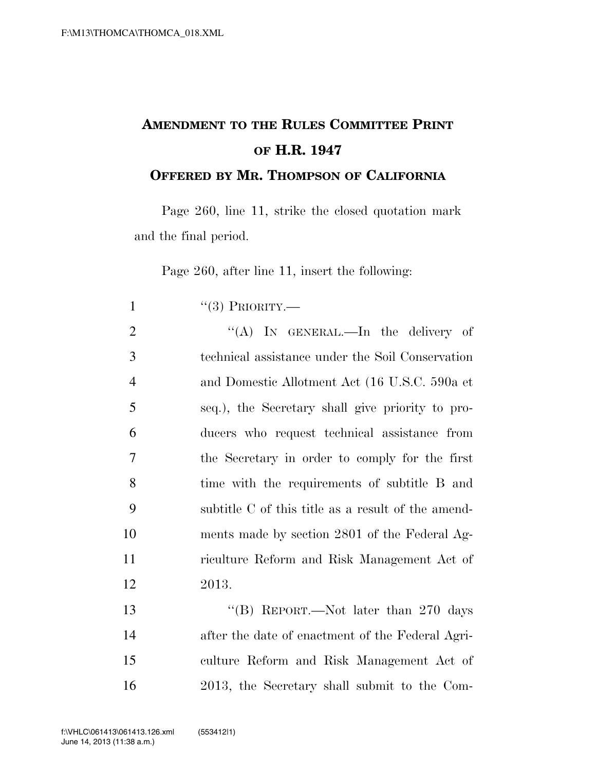## **AMENDMENT TO THE RULES COMMITTEE PRINT OF H.R. 1947**

**OFFERED BY MR. THOMPSON OF CALIFORNIA**

Page 260, line 11, strike the closed quotation mark and the final period.

Page 260, after line 11, insert the following:

| $\mathbf{1}$   | $``(3)$ PRIORITY.—                                 |
|----------------|----------------------------------------------------|
| $\overline{2}$ | "(A) IN GENERAL.—In the delivery of                |
| 3              | technical assistance under the Soil Conservation   |
| $\overline{4}$ | and Domestic Allotment Act (16 U.S.C. 590a et      |
| 5              | seq.), the Secretary shall give priority to pro-   |
| 6              | ducers who request technical assistance from       |
| 7              | the Secretary in order to comply for the first     |
| 8              | time with the requirements of subtitle B and       |
| 9              | subtitle C of this title as a result of the amend- |
| 10             | ments made by section 2801 of the Federal Ag-      |
| 11             | riculture Reform and Risk Management Act of        |
| 12             | 2013.                                              |
| 13             | "(B) REPORT.—Not later than $270$ days             |
| 14             | after the date of enactment of the Federal Agri-   |
| 15             | culture Reform and Risk Management Act of          |
| 16             | 2013, the Secretary shall submit to the Com-       |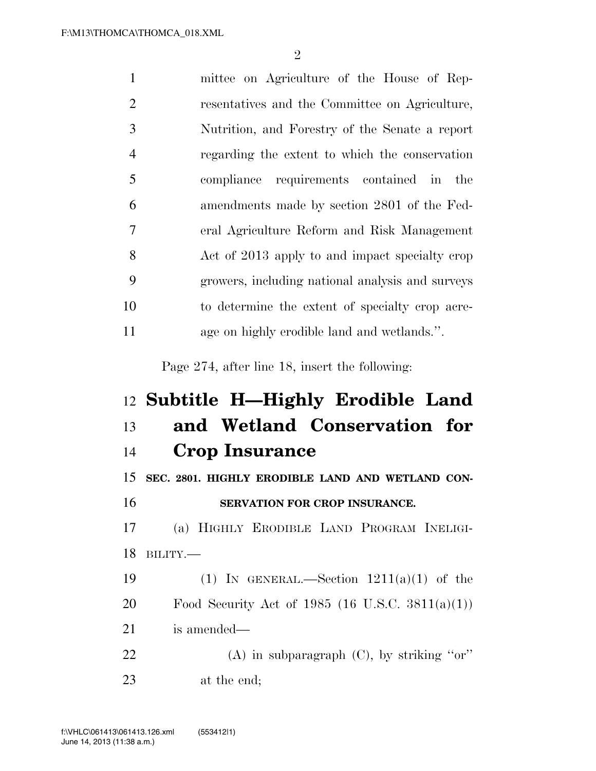| $\mathbf{1}$   | mittee on Agriculture of the House of Rep-       |
|----------------|--------------------------------------------------|
| $\overline{2}$ | resentatives and the Committee on Agriculture,   |
| 3              | Nutrition, and Forestry of the Senate a report   |
| $\overline{4}$ | regarding the extent to which the conservation   |
| 5              | compliance requirements contained in the         |
| 6              | amendments made by section 2801 of the Fed-      |
| $\overline{7}$ | eral Agriculture Reform and Risk Management      |
| 8              | Act of 2013 apply to and impact specialty crop   |
| 9              | growers, including national analysis and surveys |
| 10             | to determine the extent of specialty crop acre-  |
| 11             | age on highly erodible land and wetlands.".      |
|                |                                                  |
|                | Page 274, after line 18, insert the following:   |
|                | 12 Subtitle H—Highly Erodible Land               |
| 13             | and Wetland Conservation for                     |
| 14             | <b>Crop Insurance</b>                            |
| 15             | SEC. 2801. HIGHLY ERODIBLE LAND AND WETLAND CON- |
| 16             | SERVATION FOR CROP INSURANCE.                    |
| 17             | (a) HIGHLY ERODIBLE LAND PROGRAM INELIGI-        |
| 18             | BILITY.                                          |
| 19             | (1) IN GENERAL.—Section $1211(a)(1)$ of the      |
| 20             | Food Security Act of 1985 (16 U.S.C. 3811(a)(1)) |
| 21             | is amended—                                      |

at the end;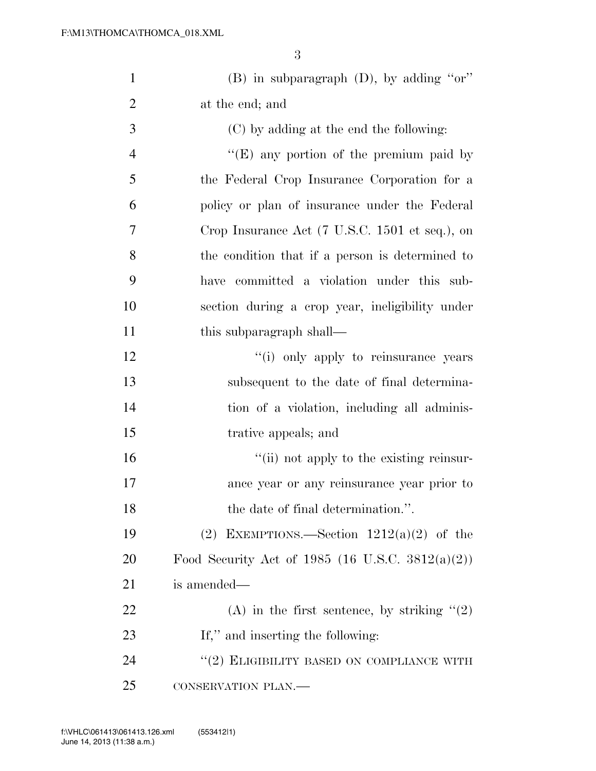| $\mathbf{1}$   | $(B)$ in subparagraph $(D)$ , by adding "or"           |
|----------------|--------------------------------------------------------|
| $\overline{2}$ | at the end; and                                        |
| 3              | (C) by adding at the end the following:                |
| $\overline{4}$ | "(E) any portion of the premium paid by                |
| 5              | the Federal Crop Insurance Corporation for a           |
| 6              | policy or plan of insurance under the Federal          |
| 7              | Crop Insurance Act (7 U.S.C. 1501 et seq.), on         |
| 8              | the condition that if a person is determined to        |
| 9              | have committed a violation under this sub-             |
| 10             | section during a crop year, ineligibility under        |
| 11             | this subparagraph shall—                               |
| 12             | "(i) only apply to reinsurance years                   |
| 13             | subsequent to the date of final determina-             |
| 14             | tion of a violation, including all adminis-            |
| 15             | trative appeals; and                                   |
| 16             | "(ii) not apply to the existing reinsur-               |
| 17             | ance year or any reinsurance year prior to             |
| 18             | the date of final determination.".                     |
| 19             | (2) EXEMPTIONS.—Section $1212(a)(2)$ of the            |
| <b>20</b>      | Food Security Act of 1985 (16 U.S.C. 3812(a)(2))       |
| 21             | is amended—                                            |
| 22             | (A) in the first sentence, by striking $\cdot\cdot(2)$ |
| 23             | If," and inserting the following:                      |
| 24             | $``(2)$ ELIGIBILITY BASED ON COMPLIANCE WITH           |
| 25             | CONSERVATION PLAN.                                     |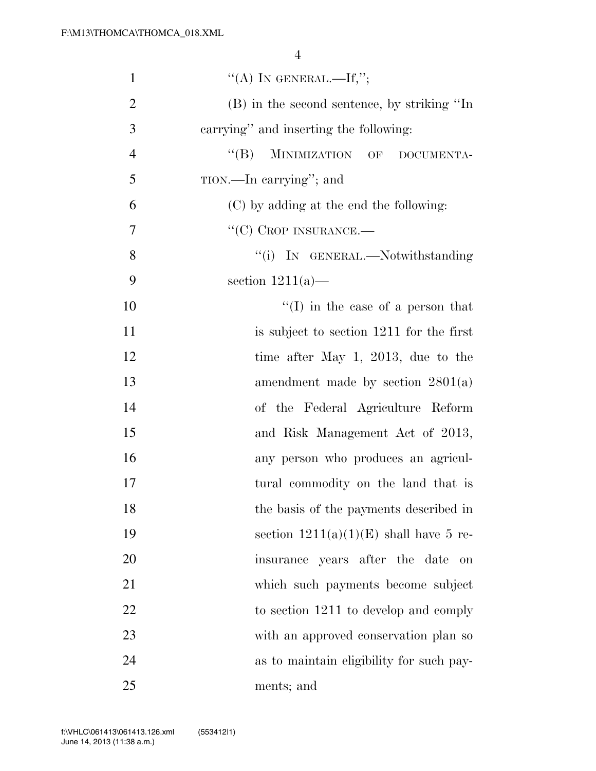| $\mathbf{1}$   | "(A) IN GENERAL.—If,";                        |
|----------------|-----------------------------------------------|
| $\overline{2}$ | (B) in the second sentence, by striking "In   |
| 3              | carrying" and inserting the following:        |
| $\overline{4}$ | MINIMIZATION OF<br>$\lq\lq (B)$<br>DOCUMENTA- |
| 5              | TION.—In carrying"; and                       |
| 6              | (C) by adding at the end the following:       |
| 7              | $``(C)$ CROP INSURANCE.—                      |
| 8              | "(i) IN GENERAL.—Notwithstanding              |
| 9              | section $1211(a)$ —                           |
| 10             | $\lq\lq$ (I) in the case of a person that     |
| 11             | is subject to section 1211 for the first      |
| 12             | time after May 1, 2013, due to the            |
| 13             | amendment made by section $2801(a)$           |
| 14             | of the Federal Agriculture Reform             |
| 15             | and Risk Management Act of 2013,              |
| 16             | any person who produces an agricul-           |
| 17             | tural commodity on the land that is           |
| 18             | the basis of the payments described in        |
| 19             | section $1211(a)(1)(E)$ shall have 5 re-      |
| 20             | insurance years after the date<br>on          |
| 21             | which such payments become subject            |
| 22             | to section 1211 to develop and comply         |
| 23             | with an approved conservation plan so         |
| 24             | as to maintain eligibility for such pay-      |
| 25             | ments; and                                    |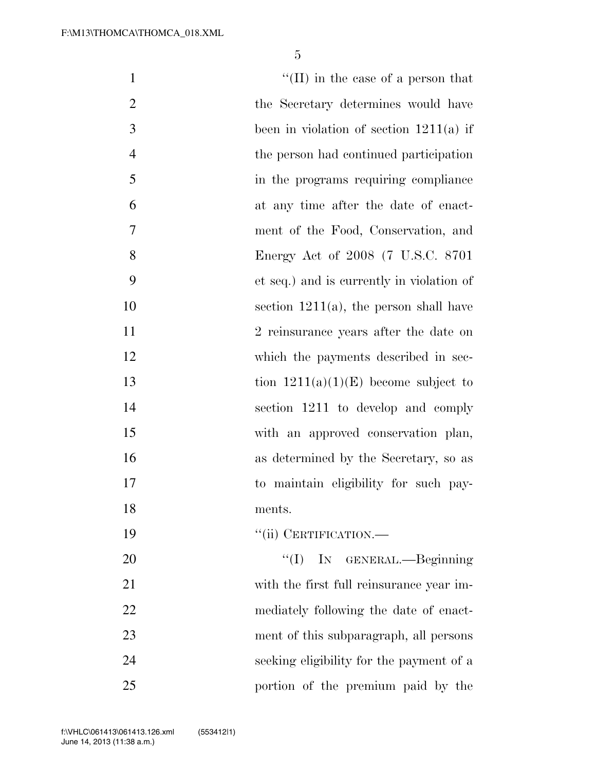| $\mathbf{1}$   | $\lq\lq$ (II) in the case of a person that |
|----------------|--------------------------------------------|
| $\mathbf{2}$   | the Secretary determines would have        |
| 3              | been in violation of section $1211(a)$ if  |
| $\overline{4}$ | the person had continued participation     |
| 5              | in the programs requiring compliance       |
| 6              | at any time after the date of enact-       |
| 7              | ment of the Food, Conservation, and        |
| 8              | Energy Act of 2008 (7 U.S.C. 8701          |
| 9              | et seq.) and is currently in violation of  |
| 10             | section $1211(a)$ , the person shall have  |
| 11             | 2 reinsurance years after the date on      |
| 12             | which the payments described in sec-       |
| 13             | tion $1211(a)(1)(E)$ become subject to     |
| 14             | section 1211 to develop and comply         |
| 15             | with an approved conservation plan,        |
| 16             | as determined by the Secretary, so as      |
| 17             | to maintain eligibility for such pay-      |
| 18             | ments.                                     |
| 19             | "(ii) CERTIFICATION.—                      |
| 20             | "(I) IN GENERAL.—Beginning                 |
| 21             | with the first full reinsurance year im-   |
| 22             | mediately following the date of enact-     |
| 23             | ment of this subparagraph, all persons     |
| 24             | seeking eligibility for the payment of a   |
| 25             | portion of the premium paid by the         |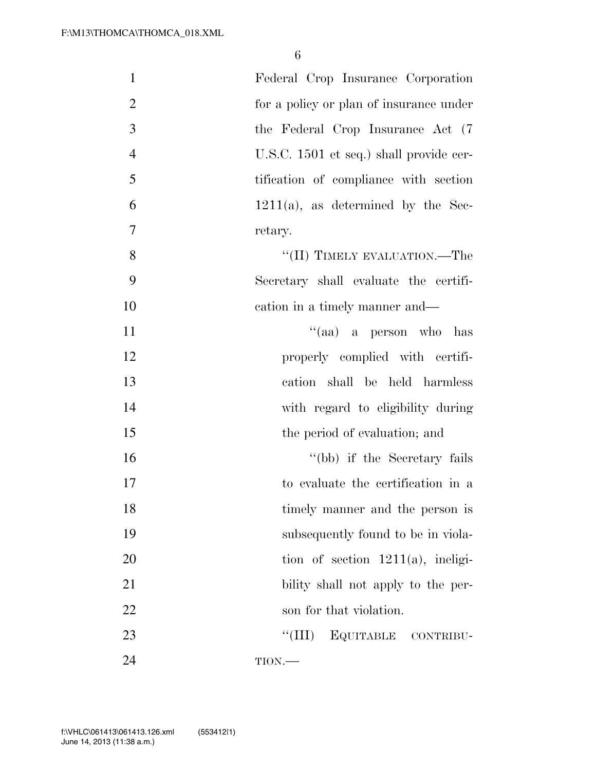| $\mathbf{1}$   | Federal Crop Insurance Corporation      |
|----------------|-----------------------------------------|
| $\overline{2}$ | for a policy or plan of insurance under |
| 3              | the Federal Crop Insurance Act (7)      |
| $\overline{4}$ | U.S.C. 1501 et seq.) shall provide cer- |
| 5              | tification of compliance with section   |
| 6              | $1211(a)$ , as determined by the Sec-   |
| $\overline{7}$ | retary.                                 |
| 8              | "(II) TIMELY EVALUATION.—The            |
| 9              | Secretary shall evaluate the certifi-   |
| 10             | cation in a timely manner and—          |
| 11             | "(aa) a person who has                  |
| 12             | properly complied with certifi-         |
| 13             | cation shall be held harmless           |
| 14             | with regard to eligibility during       |
| 15             | the period of evaluation; and           |
| 16             | "(bb) if the Secretary fails            |
| 17             | to evaluate the certification in a      |
| 18             | timely manner and the person is         |
| 19             | subsequently found to be in viola-      |
| 20             | tion of section $1211(a)$ , ineligi-    |
| 21             | bility shall not apply to the per-      |
| 22             | son for that violation.                 |
| 23             | ``(III)<br>EQUITABLE CONTRIBU-          |
| 24             | TION.                                   |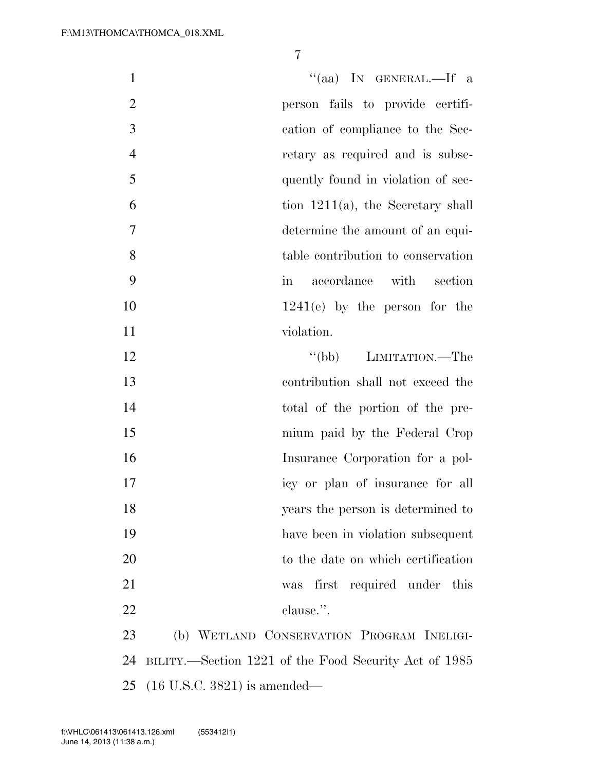| $\mathbf{1}$   | "(aa) IN GENERAL.—If a                                |
|----------------|-------------------------------------------------------|
| $\overline{2}$ | person fails to provide certifi-                      |
| 3              | cation of compliance to the Sec-                      |
| $\overline{4}$ | retary as required and is subse-                      |
| 5              | quently found in violation of sec-                    |
| 6              | tion $1211(a)$ , the Secretary shall                  |
| 7              | determine the amount of an equi-                      |
| 8              | table contribution to conservation                    |
| 9              | accordance with section<br>$\operatorname{in}$        |
| 10             | $1241(e)$ by the person for the                       |
| 11             | violation.                                            |
| 12             | "(bb) LIMITATION.—The                                 |
| 13             | contribution shall not exceed the                     |
| 14             | total of the portion of the pre-                      |
| 15             | mium paid by the Federal Crop                         |
| 16             | Insurance Corporation for a pol-                      |
| 17             | icy or plan of insurance for all                      |
| 18             | years the person is determined to                     |
| 19             | have been in violation subsequent                     |
| 20             | to the date on which certification                    |
| 21             | first required under this<br>was                      |
| 22             | clause.".                                             |
| 23             | (b) WETLAND CONSERVATION PROGRAM INELIGI-             |
| 24             | BILITY.—Section 1221 of the Food Security Act of 1985 |
|                | 25 $(16 \text{ U.S.C. } 3821)$ is amended—            |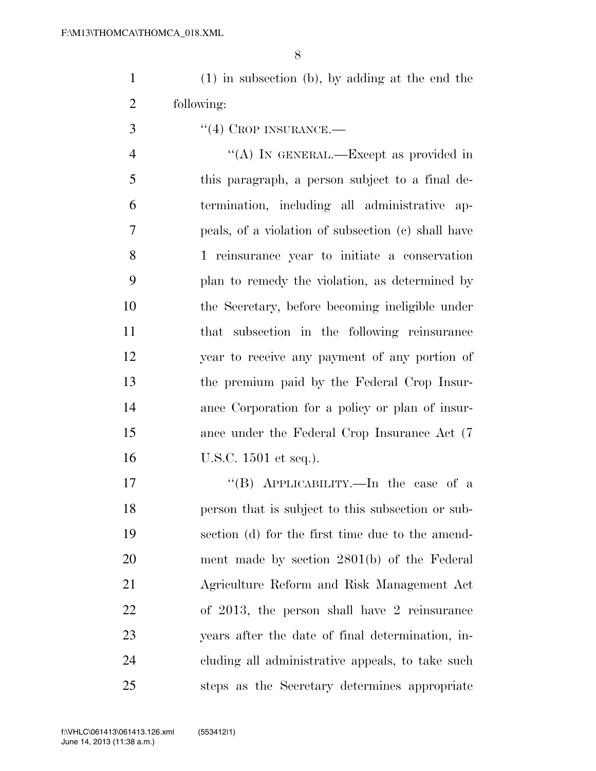(1) in subsection (b), by adding at the end the following:

''(4) CROP INSURANCE.—

4 "(A) IN GENERAL.—Except as provided in this paragraph, a person subject to a final de- termination, including all administrative ap- peals, of a violation of subsection (c) shall have 1 reinsurance year to initiate a conservation plan to remedy the violation, as determined by the Secretary, before becoming ineligible under that subsection in the following reinsurance year to receive any payment of any portion of the premium paid by the Federal Crop Insur- ance Corporation for a policy or plan of insur- ance under the Federal Crop Insurance Act (7 U.S.C. 1501 et seq.).

17 ''(B) APPLICABILITY.—In the case of a person that is subject to this subsection or sub- section (d) for the first time due to the amend- ment made by section 2801(b) of the Federal Agriculture Reform and Risk Management Act of 2013, the person shall have 2 reinsurance years after the date of final determination, in- cluding all administrative appeals, to take such steps as the Secretary determines appropriate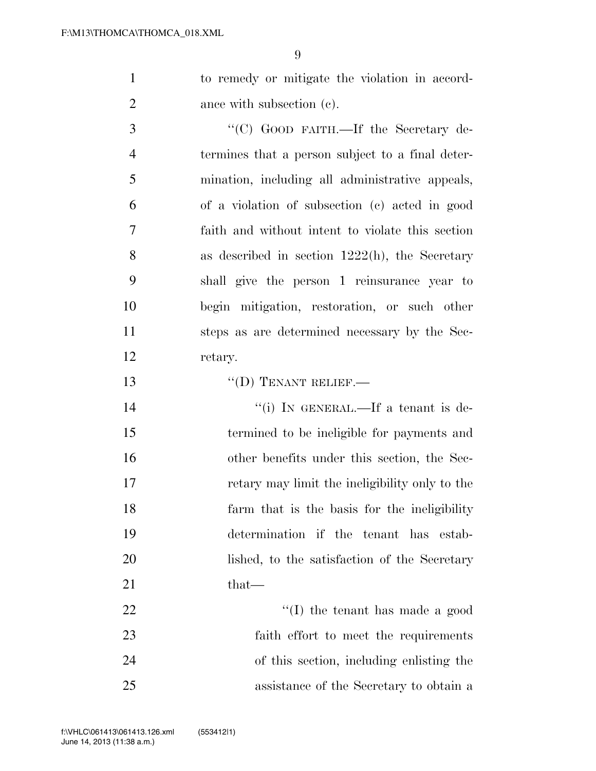to remedy or mitigate the violation in accord-2 ance with subsection (c).

3 "'(C) GOOD FAITH.—If the Secretary de- termines that a person subject to a final deter- mination, including all administrative appeals, of a violation of subsection (c) acted in good faith and without intent to violate this section as described in section 1222(h), the Secretary shall give the person 1 reinsurance year to begin mitigation, restoration, or such other steps as are determined necessary by the Sec-retary.

13 "(D) TENANT RELIEF.

 $''(i)$  In GENERAL.—If a tenant is de- termined to be ineligible for payments and other benefits under this section, the Sec- retary may limit the ineligibility only to the farm that is the basis for the ineligibility determination if the tenant has estab- lished, to the satisfaction of the Secretary that—

22 ''(I) the tenant has made a good faith effort to meet the requirements of this section, including enlisting the assistance of the Secretary to obtain a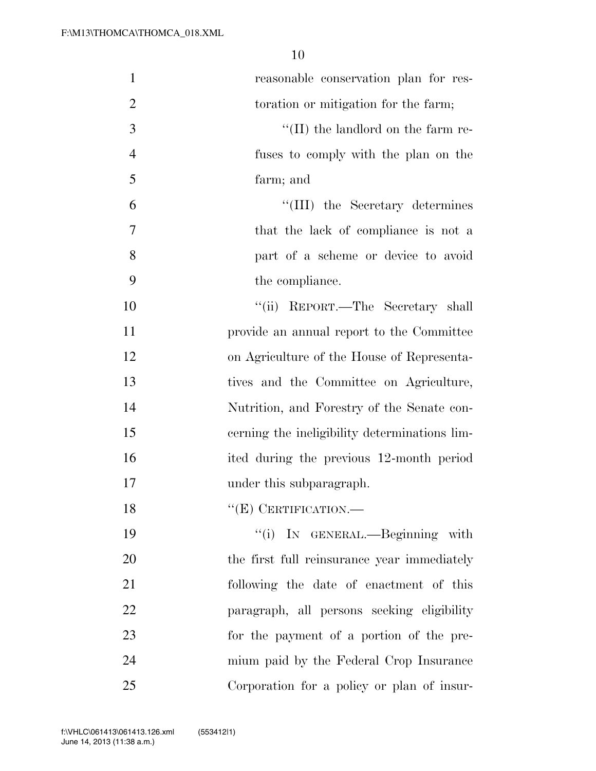| $\mathbf{1}$   | reasonable conservation plan for res-         |
|----------------|-----------------------------------------------|
| $\overline{2}$ | toration or mitigation for the farm;          |
| 3              | $\lq\lq$ (II) the landlord on the farm re-    |
| $\overline{4}$ | fuses to comply with the plan on the          |
| 5              | farm; and                                     |
| 6              | "(III) the Secretary determines               |
| 7              | that the lack of compliance is not a          |
| 8              | part of a scheme or device to avoid           |
| 9              | the compliance.                               |
| 10             | "(ii) REPORT.—The Secretary shall             |
| 11             | provide an annual report to the Committee     |
| 12             | on Agriculture of the House of Representa-    |
| 13             | tives and the Committee on Agriculture,       |
| 14             | Nutrition, and Forestry of the Senate con-    |
| 15             | cerning the ineligibility determinations lim- |
| 16             | ited during the previous 12-month period      |
| 17             | under this subparagraph.                      |
| 18             | $``(E)$ CERTIFICATION.—                       |
| 19             | "(i) IN GENERAL.—Beginning with               |
| 20             | the first full reinsurance year immediately   |
| 21             | following the date of enactment of this       |
| 22             | paragraph, all persons seeking eligibility    |
| 23             | for the payment of a portion of the pre-      |
| 24             | mium paid by the Federal Crop Insurance       |
| 25             | Corporation for a policy or plan of insur-    |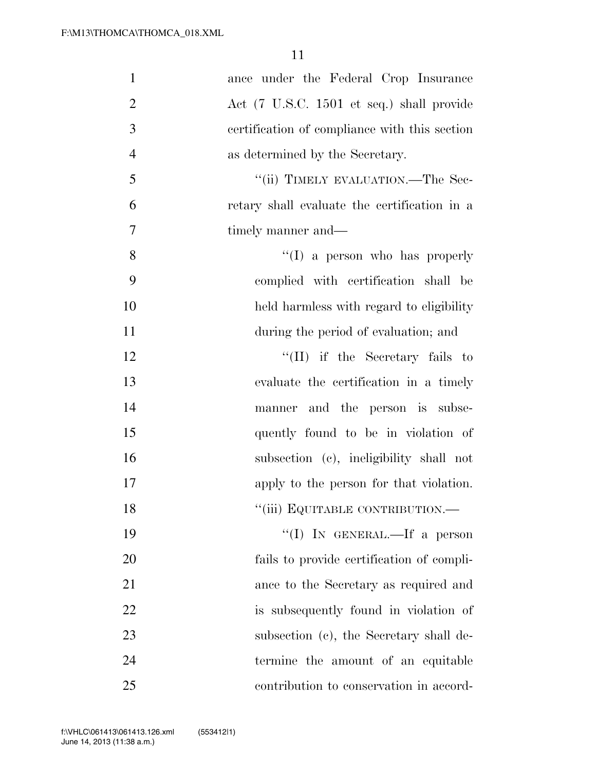| $\mathbf{1}$   | ance under the Federal Crop Insurance         |
|----------------|-----------------------------------------------|
| $\overline{2}$ | Act (7 U.S.C. 1501 et seq.) shall provide     |
| 3              | certification of compliance with this section |
| $\overline{4}$ | as determined by the Secretary.               |
| 5              | "(ii) TIMELY EVALUATION.—The Sec-             |
| 6              | retary shall evaluate the certification in a  |
| 7              | timely manner and—                            |
| 8              | $\lq\lq$ (I) a person who has properly        |
| 9              | complied with certification shall be          |
| 10             | held harmless with regard to eligibility      |
| 11             | during the period of evaluation; and          |
| 12             | $\lq\lq$ (II) if the Secretary fails to       |
| 13             | evaluate the certification in a timely        |
| 14             | manner and the person is subse-               |
| 15             | quently found to be in violation of           |
| 16             | subsection (c), ineligibility shall not       |
| 17             | apply to the person for that violation.       |
| 18             | "(iii) EQUITABLE CONTRIBUTION.—               |
| 19             | "(I) IN GENERAL.—If a person                  |
| 20             | fails to provide certification of compli-     |
| 21             | ance to the Secretary as required and         |
| 22             | is subsequently found in violation of         |
| 23             | subsection (c), the Secretary shall de-       |
| 24             | termine the amount of an equitable            |
| 25             | contribution to conservation in accord-       |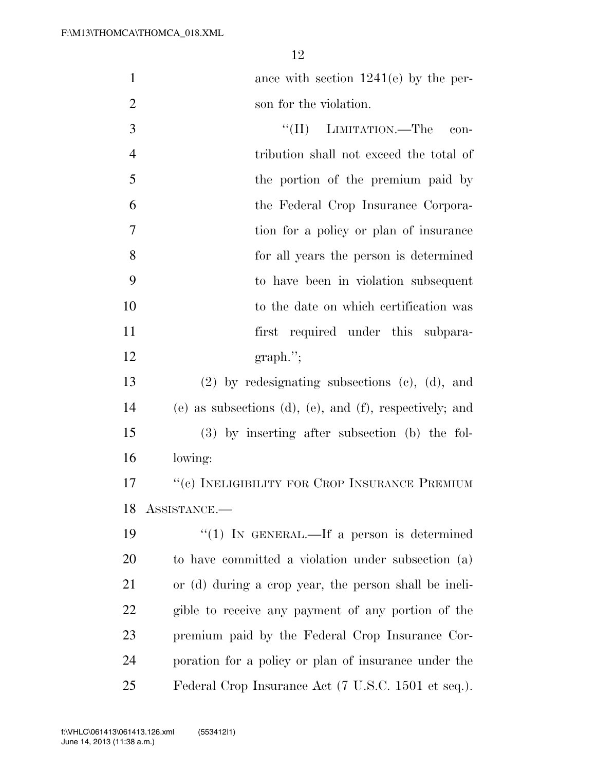1 ance with section 1241(e) by the per-2 son for the violation.

 ''(II) LIMITATION.—The con- tribution shall not exceed the total of 5 the portion of the premium paid by the Federal Crop Insurance Corpora- tion for a policy or plan of insurance for all years the person is determined to have been in violation subsequent to the date on which certification was 11 first required under this subpara-12 graph.";

 (2) by redesignating subsections (c), (d), and (e) as subsections (d), (e), and (f), respectively; and (3) by inserting after subsection (b) the fol-lowing:

 ''(c) INELIGIBILITY FOR CROP INSURANCE PREMIUM ASSISTANCE.—

 ''(1) IN GENERAL.—If a person is determined to have committed a violation under subsection (a) or (d) during a crop year, the person shall be ineli- gible to receive any payment of any portion of the premium paid by the Federal Crop Insurance Cor- poration for a policy or plan of insurance under the Federal Crop Insurance Act (7 U.S.C. 1501 et seq.).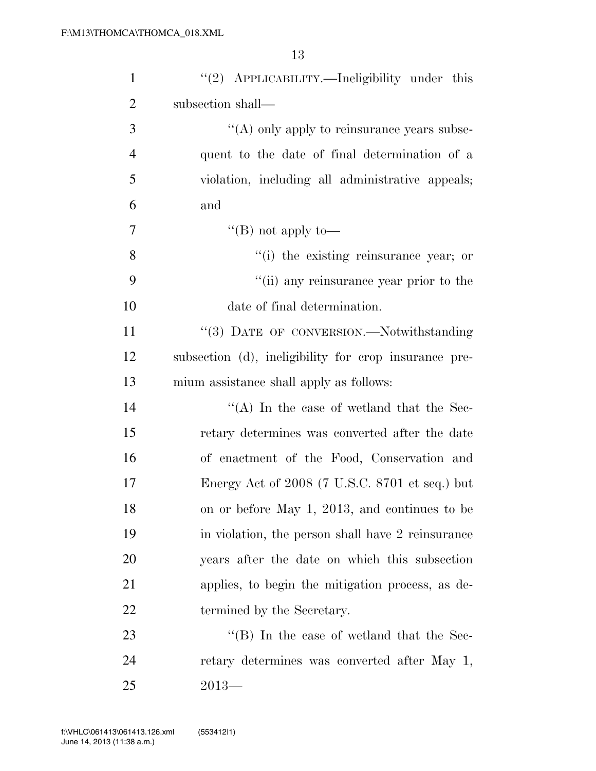| $\mathbf{1}$   | "(2) APPLICABILITY.—Ineligibility under this          |
|----------------|-------------------------------------------------------|
| $\overline{2}$ | subsection shall—                                     |
| 3              | $\lq\lq$ only apply to reinsurance years subse-       |
| $\overline{4}$ | quent to the date of final determination of a         |
| 5              | violation, including all administrative appeals;      |
| 6              | and                                                   |
| 7              | "(B) not apply to—                                    |
| 8              | "(i) the existing reinsurance year; or                |
| 9              | "(ii) any reinsurance year prior to the               |
| 10             | date of final determination.                          |
| 11             | "(3) DATE OF CONVERSION.—Notwithstanding              |
| 12             | subsection (d), ineligibility for crop insurance pre- |
| 13             | mium assistance shall apply as follows:               |
| 14             | "(A) In the case of wetland that the Sec-             |
| 15             | retary determines was converted after the date        |
| 16             | of enactment of the Food, Conservation and            |
| 17             | Energy Act of 2008 (7 U.S.C. 8701 et seq.) but        |
| 18             | on or before May 1, 2013, and continues to be         |
| 19             | in violation, the person shall have 2 reinsurance     |
| 20             | years after the date on which this subsection         |
| 21             | applies, to begin the mitigation process, as de-      |
| 22             | termined by the Secretary.                            |
| 23             | $\lq$ (B) In the case of wetland that the Sec-        |
| 24             | retary determines was converted after May 1,          |
| 25             | $2013-$                                               |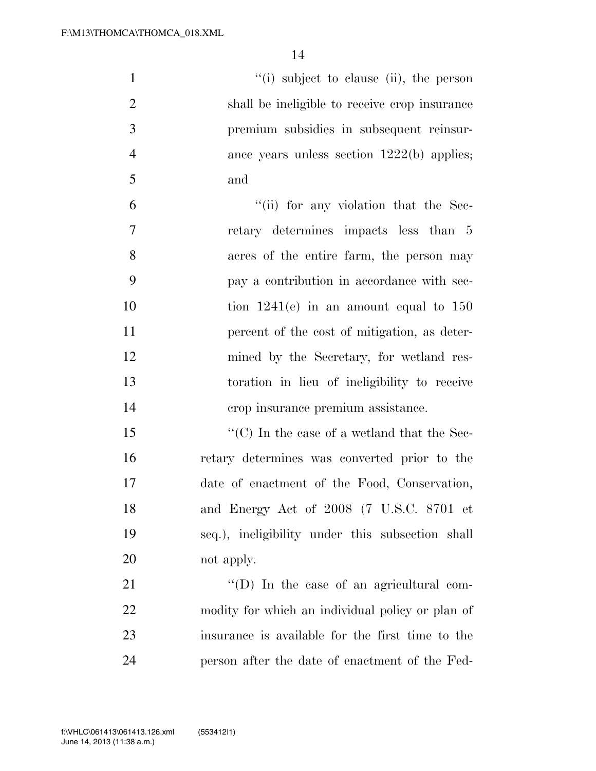| $\mathbf{1}$   | "(i) subject to clause (ii), the person          |
|----------------|--------------------------------------------------|
| $\overline{2}$ | shall be ineligible to receive crop insurance    |
| 3              | premium subsidies in subsequent reinsur-         |
| $\overline{4}$ | ance years unless section $1222(b)$ applies;     |
| 5              | and                                              |
| 6              | "(ii) for any violation that the Sec-            |
| $\overline{7}$ | retary determines impacts less than 5            |
| 8              | acres of the entire farm, the person may         |
| 9              | pay a contribution in accordance with sec-       |
| 10             | tion $1241(e)$ in an amount equal to $150$       |
| 11             | percent of the cost of mitigation, as deter-     |
| 12             | mined by the Secretary, for wetland res-         |
| 13             | toration in lieu of ineligibility to receive     |
| 14             | erop insurance premium assistance.               |
| 15             | "(C) In the case of a wetland that the Sec-      |
| 16             | retary determines was converted prior to the     |
| 17             | date of enactment of the Food, Conservation,     |
| 18             | and Energy Act of 2008 (7 U.S.C. 8701 et         |
| 19             | seq.), ineligibility under this subsection shall |
| 20             | not apply.                                       |
| 21             | $\lq\lq$ (D) In the case of an agricultural com- |
| 22             | modity for which an individual policy or plan of |
| 23             | insurance is available for the first time to the |
| 24             | person after the date of enactment of the Fed-   |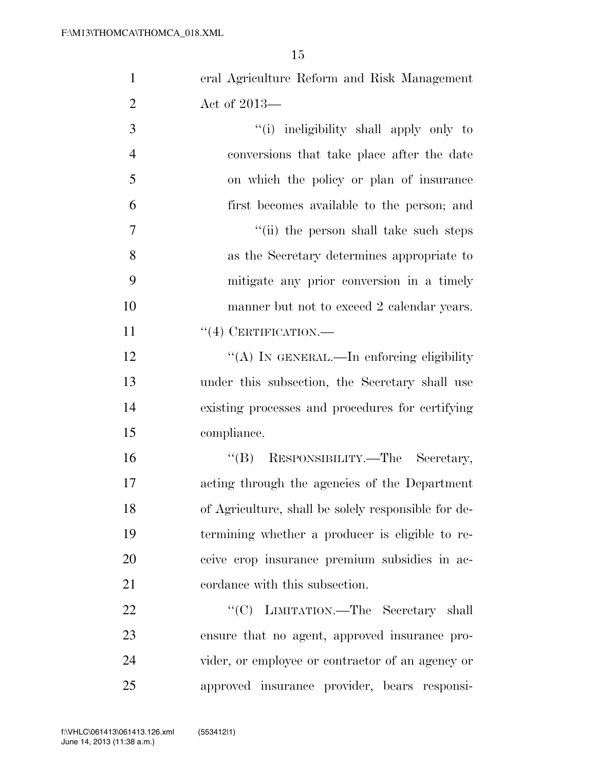| $\mathbf{1}$   | eral Agriculture Reform and Risk Management         |
|----------------|-----------------------------------------------------|
| $\overline{2}$ | Act of 2013—                                        |
| 3              | "(i) ineligibility shall apply only to              |
| $\overline{4}$ | conversions that take place after the date          |
| 5              | on which the policy or plan of insurance            |
| 6              | first becomes available to the person; and          |
| $\tau$         | "(ii) the person shall take such steps              |
| 8              | as the Secretary determines appropriate to          |
| 9              | mitigate any prior conversion in a timely           |
| 10             | manner but not to exceed 2 calendar years.          |
| 11             | $``(4)$ CERTIFICATION.—                             |
| 12             | "(A) IN GENERAL.—In enforcing eligibility           |
| 13             | under this subsection, the Secretary shall use      |
| 14             | existing processes and procedures for certifying    |
| 15             | compliance.                                         |
| 16             | "(B) RESPONSIBILITY.—The Secretary,                 |
| 17             | acting through the agencies of the Department       |
| 18             | of Agriculture, shall be solely responsible for de- |
| 19             | termining whether a producer is eligible to re-     |
| 20             | ceive crop insurance premium subsidies in ac-       |
| 21             | cordance with this subsection.                      |
| 22             | "(C) LIMITATION.—The Secretary shall                |
| 23             | ensure that no agent, approved insurance pro-       |
| 24             | vider, or employee or contractor of an agency or    |
| 25             | approved insurance provider, bears responsi-        |